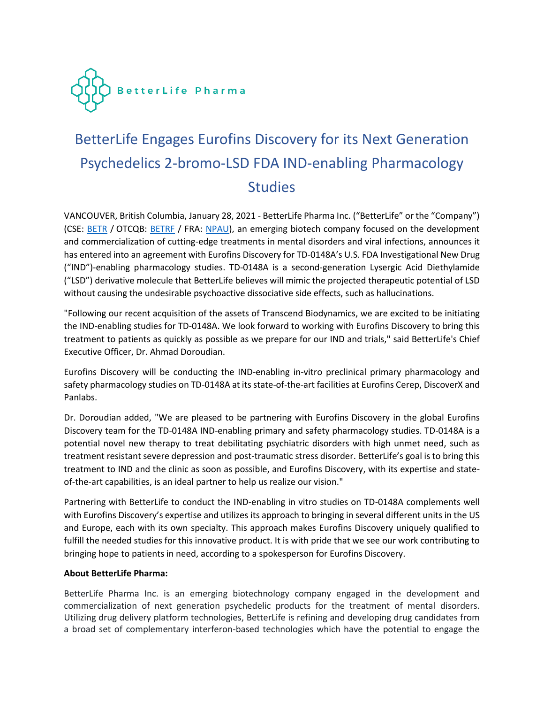

# BetterLife Engages Eurofins Discovery for its Next Generation Psychedelics 2-bromo-LSD FDA IND-enabling Pharmacology **Studies**

VANCOUVER, British Columbia, January 28, 2021 - BetterLife Pharma Inc. ("BetterLife" or the "Company") (CSE: [BETR](https://thecse.com/en/listings/life-sciences/betterlife-pharma-inc) / OTCQB: [BETRF](https://www.otcmarkets.com/stock/BETRF/overview) / FRA: [NPAU\)](https://www.tradegate.de/orderbuch.php?lang=en&isin=CA08772P2026), an emerging biotech company focused on the development and commercialization of cutting-edge treatments in mental disorders and viral infections, announces it has entered into an agreement with Eurofins Discovery for TD-0148A's U.S. FDA Investigational New Drug ("IND")-enabling pharmacology studies. TD-0148A is a second-generation Lysergic Acid Diethylamide ("LSD") derivative molecule that BetterLife believes will mimic the projected therapeutic potential of LSD without causing the undesirable psychoactive dissociative side effects, such as hallucinations.

"Following our recent acquisition of the assets of Transcend Biodynamics, we are excited to be initiating the IND-enabling studies for TD-0148A. We look forward to working with Eurofins Discovery to bring this treatment to patients as quickly as possible as we prepare for our IND and trials," said BetterLife's Chief Executive Officer, Dr. Ahmad Doroudian.

Eurofins Discovery will be conducting the IND-enabling in-vitro preclinical primary pharmacology and safety pharmacology studies on TD-0148A at its state-of-the-art facilities at Eurofins Cerep, DiscoverX and Panlabs.

Dr. Doroudian added, "We are pleased to be partnering with Eurofins Discovery in the global Eurofins Discovery team for the TD-0148A IND-enabling primary and safety pharmacology studies. TD-0148A is a potential novel new therapy to treat debilitating psychiatric disorders with high unmet need, such as treatment resistant severe depression and post-traumatic stress disorder. BetterLife's goal is to bring this treatment to IND and the clinic as soon as possible, and Eurofins Discovery, with its expertise and stateof-the-art capabilities, is an ideal partner to help us realize our vision."

Partnering with BetterLife to conduct the IND-enabling in vitro studies on TD-0148A complements well with Eurofins Discovery's expertise and utilizes its approach to bringing in several different units in the US and Europe, each with its own specialty. This approach makes Eurofins Discovery uniquely qualified to fulfill the needed studies for this innovative product. It is with pride that we see our work contributing to bringing hope to patients in need, according to a spokesperson for Eurofins Discovery.

## **About BetterLife Pharma:**

BetterLife Pharma Inc. is an emerging biotechnology company engaged in the development and commercialization of next generation psychedelic products for the treatment of mental disorders. Utilizing drug delivery platform technologies, BetterLife is refining and developing drug candidates from a broad set of complementary interferon-based technologies which have the potential to engage the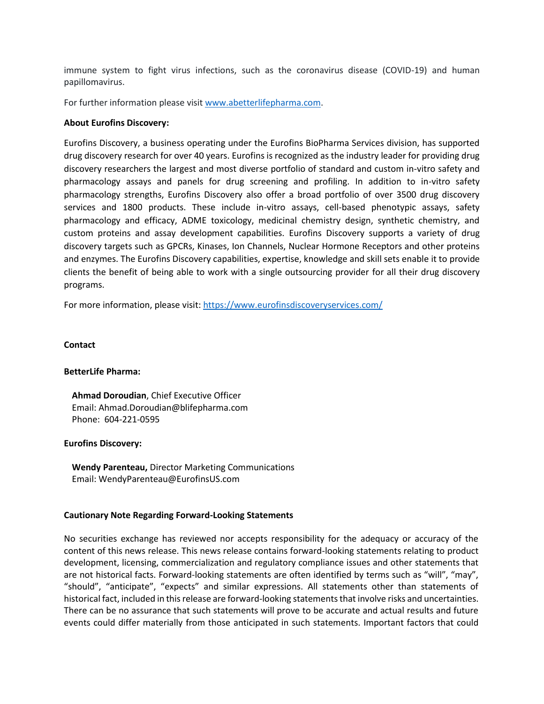immune system to fight virus infections, such as the coronavirus disease (COVID-19) and human papillomavirus.

For further information please visit [www.abetterlifepharma.com.](file:///C:/Users/andre/AppData/Local/Temp/www.abetterlifepharma.com)

## **About Eurofins Discovery:**

Eurofins Discovery, a business operating under the Eurofins BioPharma Services division, has supported drug discovery research for over 40 years. Eurofins is recognized as the industry leader for providing drug discovery researchers the largest and most diverse portfolio of standard and custom in-vitro safety and pharmacology assays and panels for drug screening and profiling. In addition to in-vitro safety pharmacology strengths, Eurofins Discovery also offer a broad portfolio of over 3500 drug discovery services and 1800 products. These include in-vitro assays, cell-based phenotypic assays, safety pharmacology and efficacy, ADME toxicology, medicinal chemistry design, synthetic chemistry, and custom proteins and assay development capabilities. Eurofins Discovery supports a variety of drug discovery targets such as GPCRs, Kinases, Ion Channels, Nuclear Hormone Receptors and other proteins and enzymes. The Eurofins Discovery capabilities, expertise, knowledge and skill sets enable it to provide clients the benefit of being able to work with a single outsourcing provider for all their drug discovery programs.

For more information, please visit[: https://www.eurofinsdiscoveryservices.com/](https://www.eurofinsdiscoveryservices.com/)

## **Contact**

### **BetterLife Pharma:**

**Ahmad Doroudian**, Chief Executive Officer Email: [Ahmad.Doroudian@blifepharma.com](mailto:ahmad.doroudian@blifepharma.com) Phone: 604-221-0595

### **Eurofins Discovery:**

**Wendy Parenteau,** Director Marketing Communications Email: WendyParenteau@EurofinsUS.com

### **Cautionary Note Regarding Forward-Looking Statements**

No securities exchange has reviewed nor accepts responsibility for the adequacy or accuracy of the content of this news release. This news release contains forward-looking statements relating to product development, licensing, commercialization and regulatory compliance issues and other statements that are not historical facts. Forward-looking statements are often identified by terms such as "will", "may", "should", "anticipate", "expects" and similar expressions. All statements other than statements of historical fact, included in this release are forward-looking statements that involve risks and uncertainties. There can be no assurance that such statements will prove to be accurate and actual results and future events could differ materially from those anticipated in such statements. Important factors that could